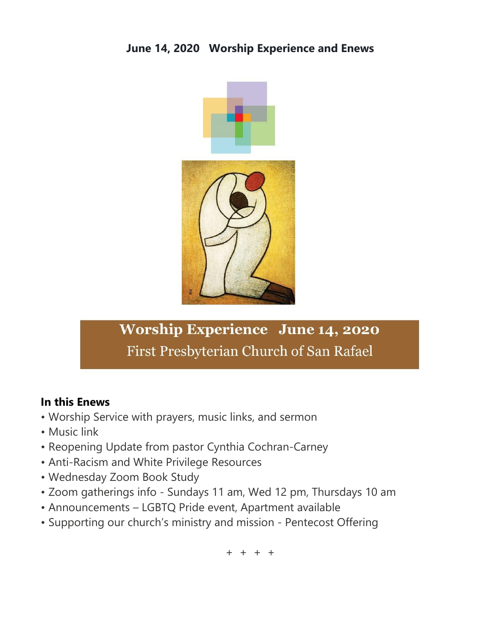## **June 14, 2020 Worship Experience and Enews**



# **Worship Experience June 14, 2020** First Presbyterian Church of San Rafael

#### **In this Enews**

- Worship Service with prayers, music links, and sermon
- Music link
- Reopening Update from pastor Cynthia Cochran-Carney
- Anti-Racism and White Privilege Resources
- Wednesday Zoom Book Study
- Zoom gatherings info Sundays 11 am, Wed 12 pm, Thursdays 10 am
- Announcements LGBTQ Pride event, Apartment available
- Supporting our church's ministry and mission Pentecost Offering

+ + + +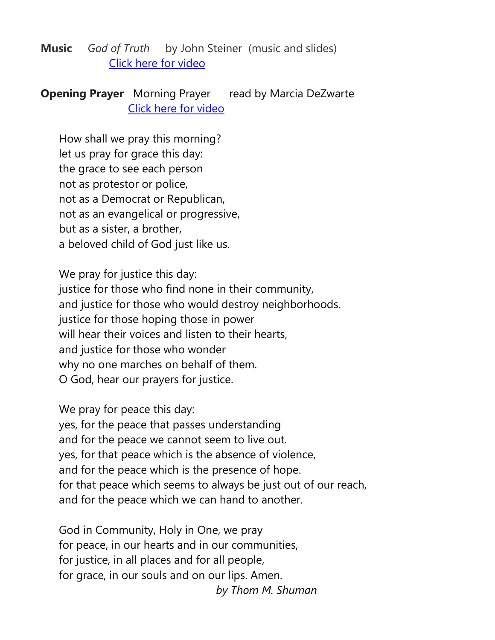**Music** *God of Truth* by John Steiner (music and slides) Click here for [video](https://www.youtube.com/watch?v=Zef9PkTy85A)

**Opening Prayer** Morning Prayer read by Marcia DeZwarte Click here for [video](https://www.youtube.com/watch?v=bVhnLnBOKvo)

How shall we pray this morning? let us pray for grace this day: the grace to see each person not as protestor or police, not as a Democrat or Republican, not as an evangelical or progressive, but as a sister, a brother, a beloved child of God just like us.

We pray for justice this day: justice for those who find none in their community, and justice for those who would destroy neighborhoods. justice for those hoping those in power will hear their voices and listen to their hearts, and justice for those who wonder why no one marches on behalf of them. O God, hear our prayers for justice.

We pray for peace this day:

yes, for the peace that passes understanding and for the peace we cannot seem to live out. yes, for that peace which is the absence of violence, and for the peace which is the presence of hope. for that peace which seems to always be just out of our reach, and for the peace which we can hand to another.

God in Community, Holy in One, we pray for peace, in our hearts and in our communities, for justice, in all places and for all people, for grace, in our souls and on our lips. Amen.

*by Thom M. Shuman*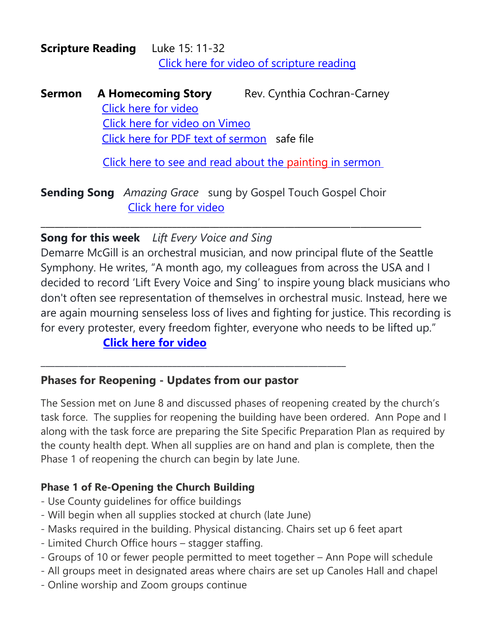**Scripture Reading** Luke 15: 11-32 Click here for video of [scripture](https://www.youtube.com/watch?v=tS9QIK8PAuk) reading

**Sermon A Homecoming Story** Rev. Cynthia Cochran-Carney Click here for [video](https://www.youtube.com/watch?v=6p704I6loJc) Click here for video on [Vimeo](https://vimeo.com/428804560) [Click here for PDF text of sermon](https://5c6db69c-7b6d-4dcf-93ba-cd68163aa390.filesusr.com/ugd/03e078_9005b616d08843e7bceb805b84ffcd59.pdf) safe file

Click here to see and read about the [painting](https://en.wikipedia.org/wiki/The_Return_of_the_Prodigal_Son_(Rembrandt)) in sermon

**Sending Song** *Amazing Grace* sung by Gospel Touch Gospel Choir Click here for [video](https://www.youtube.com/watch?v=maeSHVZX8xc)

**\_\_\_\_\_\_\_\_\_\_\_\_\_\_\_\_\_\_\_\_\_\_\_\_\_\_\_\_\_\_\_\_\_\_\_\_\_\_\_\_\_\_\_\_\_\_\_\_\_\_\_\_\_\_\_\_\_\_\_\_\_\_\_\_\_\_\_\_\_\_\_\_\_\_\_\_\_\_\_\_\_**

## **Song for this week** *Lift Every Voice and Sing*

Demarre McGill is an orchestral musician, and now principal flute of the Seattle Symphony. He writes, "A month ago, my colleagues from across the USA and I decided to record 'Lift Every Voice and Sing' to inspire young black musicians who don't often see representation of themselves in orchestral music. Instead, here we are again mourning senseless loss of lives and fighting for justice. This recording is for every protester, every freedom fighter, everyone who needs to be lifted up."

# **Click here for [video](https://www.youtube.com/watch?v=9YS5xfA7MYg&feature=youtu.be&fbclid=IwAR2aEssmbTEPlR9_vIl9dU3Q8Mdb8-Run14NvWEysQHuXGJapCsAq1tEOYQ)**

## **Phases for Reopening - Updates from our pastor**

**\_\_\_\_\_\_\_\_\_\_\_\_\_\_\_\_\_\_\_\_\_\_\_\_\_\_\_\_\_\_\_\_\_\_\_\_\_\_\_\_\_\_\_\_\_\_\_\_\_\_\_\_\_\_\_\_\_\_\_\_\_\_\_\_\_**

The Session met on June 8 and discussed phases of reopening created by the church's task force. The supplies for reopening the building have been ordered. Ann Pope and I along with the task force are preparing the Site Specific Preparation Plan as required by the county health dept. When all supplies are on hand and plan is complete, then the Phase 1 of reopening the church can begin by late June.

## **Phase 1 of Re-Opening the Church Building**

- Use County guidelines for office buildings
- Will begin when all supplies stocked at church (late June)
- Masks required in the building. Physical distancing. Chairs set up 6 feet apart
- Limited Church Office hours stagger staffing.
- Groups of 10 or fewer people permitted to meet together Ann Pope will schedule
- All groups meet in designated areas where chairs are set up Canoles Hall and chapel
- Online worship and Zoom groups continue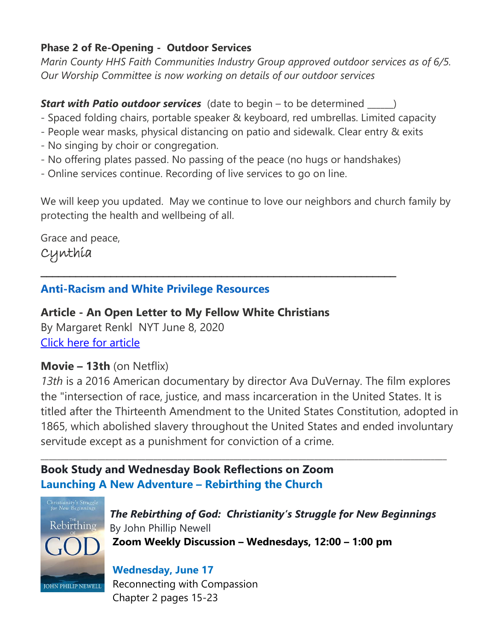#### **Phase 2 of Re-Opening - Outdoor Services**

*Marin County HHS Faith Communities Industry Group approved outdoor services as of 6/5. Our Worship Committee is now working on details of our outdoor services*

*Start with Patio outdoor services* (date to begin – to be determined \_\_\_\_\_\_)

- Spaced folding chairs, portable speaker & keyboard, red umbrellas. Limited capacity
- People wear masks, physical distancing on patio and sidewalk. Clear entry & exits
- No singing by choir or congregation.
- No offering plates passed. No passing of the peace (no hugs or handshakes)

\_\_\_\_\_\_\_\_\_\_\_\_\_\_\_\_\_\_\_\_\_\_\_\_\_\_\_\_\_\_\_\_\_\_\_\_\_\_\_\_\_\_\_\_\_\_\_\_\_\_\_\_\_\_\_\_\_\_\_\_\_

- Online services continue. Recording of live services to go on line.

We will keep you updated. May we continue to love our neighbors and church family by protecting the health and wellbeing of all.

Grace and peace,

Cynthia

## **Anti-Racism and White Privilege Resources**

**Article - An Open Letter to My Fellow White Christians** By Margaret Renkl NYT June 8, 2020

Click here for [article](https://www.nytimes.com/2020/06/08/opinion/protests-white-christian-racism.html?referringSource=articleShare)

## **Movie – 13th** (on Netflix)

*13th* is a 2016 American documentary by director Ava DuVernay. The film explores the "intersection of race, justice, and mass incarceration in the United States. It is titled after the Thirteenth Amendment to the United States Constitution, adopted in 1865, which abolished slavery throughout the United States and ended involuntary servitude except as a punishment for conviction of a crime.

**\_\_\_\_\_\_\_\_\_\_\_\_\_\_\_\_\_\_\_\_\_\_\_\_\_\_\_\_\_\_\_\_\_\_\_\_\_\_\_\_\_\_\_\_\_\_\_\_\_\_\_\_\_\_\_\_\_\_\_\_\_\_\_\_\_\_\_\_\_\_\_\_\_\_\_\_\_\_\_\_\_\_\_\_\_\_\_\_\_\_\_\_\_\_\_\_\_\_\_\_\_**

## **Book Study and Wednesday Book Reflections on Zoom Launching A New Adventure – Rebirthing the Church**



*The Rebirthing of God: Christianity's Struggle for New Beginnings* By John Phillip Newell **Zoom Weekly Discussion – Wednesdays, 12:00 – 1:00 pm**

**Wednesday, June 17** Reconnecting with Compassion Chapter 2 pages 15-23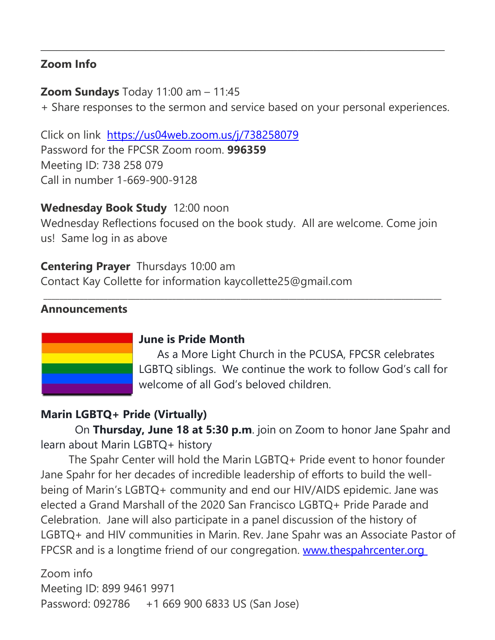## **Zoom Info**

#### **Zoom Sundays** Today 11:00 am – 11:45

+ Share responses to the sermon and service based on your personal experiences.

\_\_\_\_\_\_\_\_\_\_\_\_\_\_\_\_\_\_\_\_\_\_\_\_\_\_\_\_\_\_\_\_\_\_\_\_\_\_\_\_\_\_\_\_\_\_\_\_\_\_\_\_\_\_\_\_\_\_\_\_\_\_\_\_\_\_\_\_\_\_\_\_\_\_\_\_\_

Click on link <https://us04web.zoom.us/j/738258079> Password for the FPCSR Zoom room. **996359** Meeting ID: 738 258 079 Call in number 1-669-900-9128

# **Wednesday Book Study** 12:00 noon

Wednesday Reflections focused on the book study. All are welcome. Come join us! Same log in as above

**\_\_\_\_\_\_\_\_\_\_\_\_\_\_\_\_\_\_\_\_\_\_\_\_\_\_\_\_\_\_\_\_\_\_\_\_\_\_\_\_\_\_\_\_\_\_\_\_\_\_\_\_\_\_\_\_\_\_\_\_\_\_\_\_\_\_\_\_\_\_\_\_\_\_\_\_\_\_\_\_\_\_\_\_\_\_\_\_\_\_\_\_\_\_\_\_\_\_\_**

#### **Centering Prayer** Thursdays 10:00 am

Contact Kay Collette for information kaycollette25@gmail.com

#### **Announcements**



#### **June is Pride Month**

As a More Light Church in the PCUSA, FPCSR celebrates LGBTQ siblings. We continue the work to follow God's call for welcome of all God's beloved children.

## **Marin LGBTQ+ Pride (Virtually)**

On **Thursday, June 18 at 5:30 p.m**. join on Zoom to honor Jane Spahr and learn about Marin LGBTQ+ history

The Spahr Center will hold the Marin LGBTQ+ Pride event to honor founder Jane Spahr for her decades of incredible leadership of efforts to build the wellbeing of Marin's LGBTQ+ community and end our HIV/AIDS epidemic. Jane was elected a Grand Marshall of the 2020 San Francisco LGBTQ+ Pride Parade and Celebration. Jane will also participate in a panel discussion of the history of LGBTQ+ and HIV communities in Marin. Rev. Jane Spahr was an Associate Pastor of FPCSR and is a longtime friend of our congregation. [www.thespahrcenter.org](http://www.thespahrcenter.org/)

Zoom info Meeting ID: 899 9461 9971 Password: 092786 +1 669 900 6833 US (San Jose)